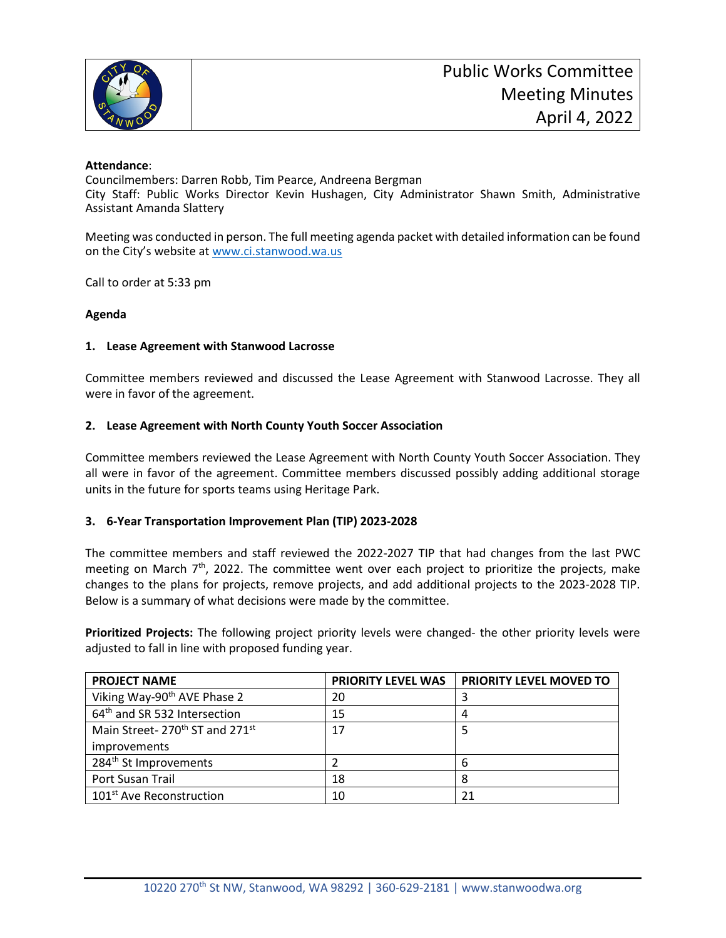

## **Attendance**:

Councilmembers: Darren Robb, Tim Pearce, Andreena Bergman City Staff: Public Works Director Kevin Hushagen, City Administrator Shawn Smith, Administrative Assistant Amanda Slattery

Meeting was conducted in person. The full meeting agenda packet with detailed information can be found on the City's website at [www.ci.stanwood.wa.us](http://www.ci.stanwood.wa.us/)

Call to order at 5:33 pm

## **Agenda**

## **1. Lease Agreement with Stanwood Lacrosse**

Committee members reviewed and discussed the Lease Agreement with Stanwood Lacrosse. They all were in favor of the agreement.

## **2. Lease Agreement with North County Youth Soccer Association**

Committee members reviewed the Lease Agreement with North County Youth Soccer Association. They all were in favor of the agreement. Committee members discussed possibly adding additional storage units in the future for sports teams using Heritage Park.

# **3. 6-Year Transportation Improvement Plan (TIP) 2023-2028**

The committee members and staff reviewed the 2022-2027 TIP that had changes from the last PWC meeting on March 7<sup>th</sup>, 2022. The committee went over each project to prioritize the projects, make changes to the plans for projects, remove projects, and add additional projects to the 2023-2028 TIP. Below is a summary of what decisions were made by the committee.

**Prioritized Projects:** The following project priority levels were changed- the other priority levels were adjusted to fall in line with proposed funding year.

| <b>PROJECT NAME</b>                                    | <b>PRIORITY LEVEL WAS</b> | <b>PRIORITY LEVEL MOVED TO</b> |
|--------------------------------------------------------|---------------------------|--------------------------------|
| Viking Way-90 <sup>th</sup> AVE Phase 2                | 20                        |                                |
| 64 <sup>th</sup> and SR 532 Intersection               | 15                        |                                |
| Main Street-270 <sup>th</sup> ST and 271 <sup>st</sup> | 17                        |                                |
| improvements                                           |                           |                                |
| 284 <sup>th</sup> St Improvements                      |                           |                                |
| Port Susan Trail                                       | 18                        |                                |
| 101 <sup>st</sup> Ave Reconstruction                   | 10                        | 21                             |